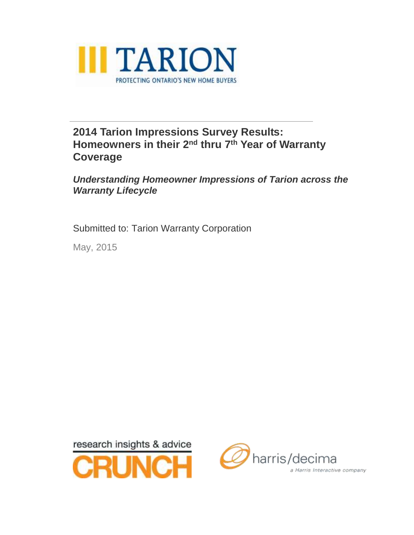

### **2014 Tarion Impressions Survey Results: Homeowners in their 2<sup>nd</sup> thru 7<sup>th</sup> Year of Warranty Coverage**

*Understanding Homeowner Impressions of Tarion across the Warranty Lifecycle*

Submitted to: Tarion Warranty Corporation

May, 2015



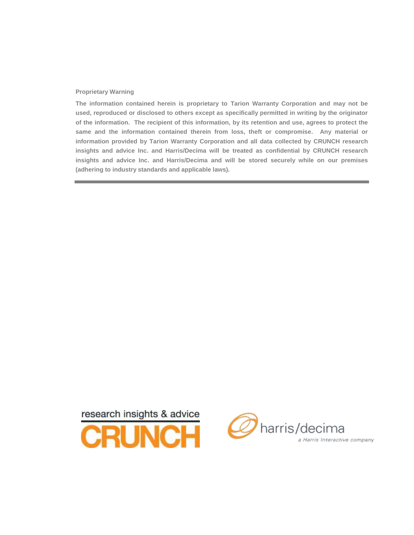#### **Proprietary Warning**

**The information contained herein is proprietary to Tarion Warranty Corporation and may not be used, reproduced or disclosed to others except as specifically permitted in writing by the originator of the information. The recipient of this information, by its retention and use, agrees to protect the same and the information contained therein from loss, theft or compromise. Any material or information provided by Tarion Warranty Corporation and all data collected by CRUNCH research insights and advice Inc. and Harris/Decima will be treated as confidential by CRUNCH research insights and advice Inc. and Harris/Decima and will be stored securely while on our premises (adhering to industry standards and applicable laws).**



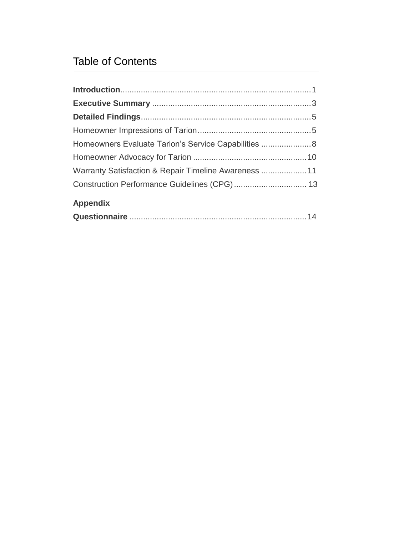### Table of Contents

| Warranty Satisfaction & Repair Timeline Awareness  11 |  |
|-------------------------------------------------------|--|
|                                                       |  |
| <b>Appendix</b>                                       |  |
|                                                       |  |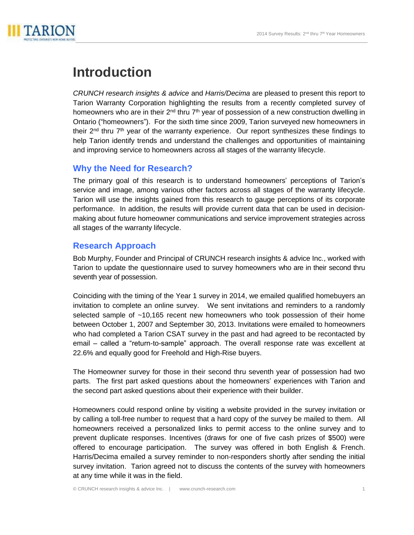

# **Introduction**

*CRUNCH research insights & advice* and *Harris/Decima* are pleased to present this report to Tarion Warranty Corporation highlighting the results from a recently completed survey of homeowners who are in their 2<sup>nd</sup> thru 7<sup>th</sup> year of possession of a new construction dwelling in Ontario ("homeowners"). For the sixth time since 2009, Tarion surveyed new homeowners in their 2<sup>nd</sup> thru 7<sup>th</sup> year of the warranty experience. Our report synthesizes these findings to help Tarion identify trends and understand the challenges and opportunities of maintaining and improving service to homeowners across all stages of the warranty lifecycle.

#### **Why the Need for Research?**

The primary goal of this research is to understand homeowners' perceptions of Tarion's service and image, among various other factors across all stages of the warranty lifecycle. Tarion will use the insights gained from this research to gauge perceptions of its corporate performance. In addition, the results will provide current data that can be used in decisionmaking about future homeowner communications and service improvement strategies across all stages of the warranty lifecycle.

#### **Research Approach**

Bob Murphy, Founder and Principal of CRUNCH research insights & advice Inc., worked with Tarion to update the questionnaire used to survey homeowners who are in their second thru seventh year of possession.

Coinciding with the timing of the Year 1 survey in 2014, we emailed qualified homebuyers an invitation to complete an online survey. We sent invitations and reminders to a randomly selected sample of ~10,165 recent new homeowners who took possession of their home between October 1, 2007 and September 30, 2013. Invitations were emailed to homeowners who had completed a Tarion CSAT survey in the past and had agreed to be recontacted by email – called a "return-to-sample" approach. The overall response rate was excellent at 22.6% and equally good for Freehold and High-Rise buyers.

The Homeowner survey for those in their second thru seventh year of possession had two parts. The first part asked questions about the homeowners' experiences with Tarion and the second part asked questions about their experience with their builder.

Homeowners could respond online by visiting a website provided in the survey invitation or by calling a toll-free number to request that a hard copy of the survey be mailed to them. All homeowners received a personalized links to permit access to the online survey and to prevent duplicate responses. Incentives (draws for one of five cash prizes of \$500) were offered to encourage participation. The survey was offered in both English & French. Harris/Decima emailed a survey reminder to non-responders shortly after sending the initial survey invitation. Tarion agreed not to discuss the contents of the survey with homeowners at any time while it was in the field.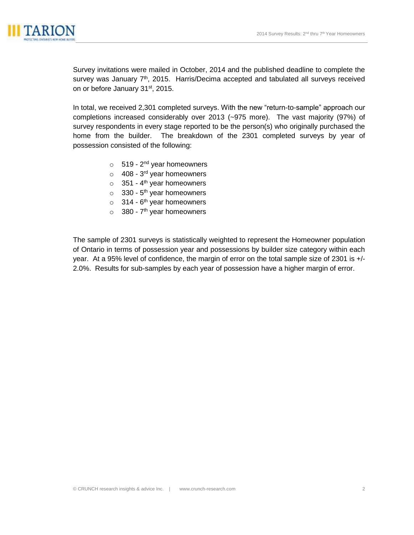

Survey invitations were mailed in October, 2014 and the published deadline to complete the survey was January 7<sup>th</sup>, 2015. Harris/Decima accepted and tabulated all surveys received on or before January 31<sup>st</sup>, 2015.

In total, we received 2,301 completed surveys. With the new "return-to-sample" approach our completions increased considerably over 2013 (~975 more). The vast majority (97%) of survey respondents in every stage reported to be the person(s) who originally purchased the home from the builder. The breakdown of the 2301 completed surveys by year of possession consisted of the following:

- o 519 2<sup>nd</sup> year homeowners
- o 408 3<sup>rd</sup> year homeowners
- $\circ$  351 4<sup>th</sup> year homeowners
- $\circ$  330 5<sup>th</sup> year homeowners
- $\circ$  314 6<sup>th</sup> year homeowners
- $\circ$  380 7<sup>th</sup> year homeowners

The sample of 2301 surveys is statistically weighted to represent the Homeowner population of Ontario in terms of possession year and possessions by builder size category within each year. At a 95% level of confidence, the margin of error on the total sample size of 2301 is +/- 2.0%. Results for sub-samples by each year of possession have a higher margin of error.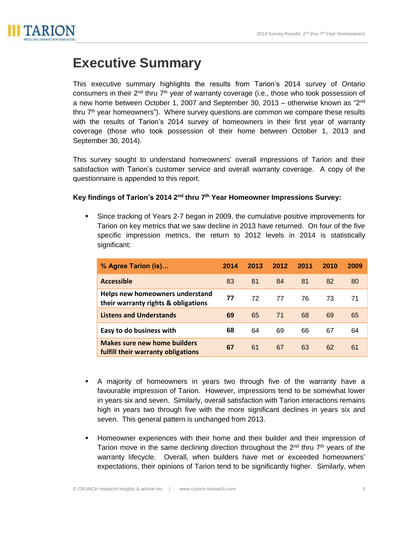

# **Executive Summary**

This executive summary highlights the results from Tarion's 2014 survey of Ontario consumers in their 2<sup>nd</sup> thru 7<sup>th</sup> year of warranty coverage (i.e., those who took possession of a new home between October 1, 2007 and September 30, 2013 – otherwise known as "2<sup>nd</sup> thru 7<sup>th</sup> year homeowners"). Where survey questions are common we compare these results with the results of Tarion's 2014 survey of homeowners in their first year of warranty coverage (those who took possession of their home between October 1, 2013 and September 30, 2014).

This survey sought to understand homeowners' overall impressions of Tarion and their satisfaction with Tarion's customer service and overall warranty coverage. A copy of the questionnaire is appended to this report.

#### Key findings of Tarion's 2014 2<sup>nd</sup> thru 7<sup>th</sup> Year Homeowner Impressions Survey:

 Since tracking of Years 2-7 began in 2009, the cumulative positive improvements for Tarion on key metrics that we saw decline in 2013 have returned. On four of the five specific impression metrics, the return to 2012 levels in 2014 is statistically significant:

| % Agree Tarion (is)                                                       | 2014 | 2013 | 2012 | 2011 | 2010 | 2009 |
|---------------------------------------------------------------------------|------|------|------|------|------|------|
| <b>Accessible</b>                                                         | 83   | 81   | 84   | 81   | 82   | 80   |
| Helps new homeowners understand<br>their warranty rights & obligations    | 77   | 72   | 77   | 76   | 73   | 71   |
| <b>Listens and Understands</b>                                            | 69   | 65   | 71   | 68   | 69   | 65   |
| Easy to do business with                                                  | 68   | 64   | 69   | 66   | 67   | 64   |
| <b>Makes sure new home builders</b><br>fulfill their warranty obligations | 67   | 61   | 67   | 63   | 62   | 61   |

- A majority of homeowners in years two through five of the warranty have a favourable impression of Tarion. However, impressions tend to be somewhat lower in years six and seven. Similarly, overall satisfaction with Tarion interactions remains high in years two through five with the more significant declines in years six and seven. This general pattern is unchanged from 2013.
- Homeowner experiences with their home and their builder and their impression of Tarion move in the same declining direction throughout the  $2<sup>nd</sup>$  thru  $7<sup>th</sup>$  years of the warranty lifecycle. Overall, when builders have met or exceeded homeowners' expectations, their opinions of Tarion tend to be significantly higher. Similarly, when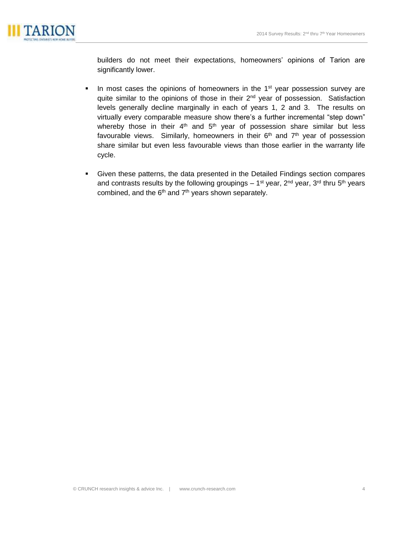

builders do not meet their expectations, homeowners' opinions of Tarion are significantly lower.

- In most cases the opinions of homeowners in the  $1<sup>st</sup>$  year possession survey are quite similar to the opinions of those in their 2<sup>nd</sup> year of possession. Satisfaction levels generally decline marginally in each of years 1, 2 and 3. The results on virtually every comparable measure show there's a further incremental "step down" whereby those in their  $4<sup>th</sup>$  and  $5<sup>th</sup>$  year of possession share similar but less favourable views. Similarly, homeowners in their 6<sup>th</sup> and 7<sup>th</sup> year of possession share similar but even less favourable views than those earlier in the warranty life cycle.
- Given these patterns, the data presented in the Detailed Findings section compares and contrasts results by the following groupings  $-1<sup>st</sup>$  year, 2<sup>nd</sup> year, 3<sup>rd</sup> thru 5<sup>th</sup> years combined, and the  $6<sup>th</sup>$  and  $7<sup>th</sup>$  years shown separately.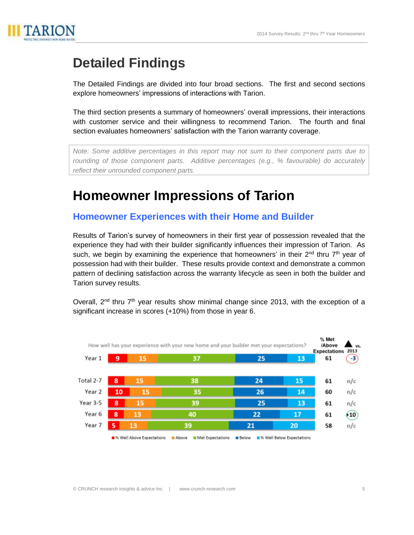

# **Detailed Findings**

The Detailed Findings are divided into four broad sections. The first and second sections explore homeowners' impressions of interactions with Tarion.

The third section presents a summary of homeowners' overall impressions, their interactions with customer service and their willingness to recommend Tarion. The fourth and final section evaluates homeowners' satisfaction with the Tarion warranty coverage.

*Note: Some additive percentages in this report may not sum to their component parts due to rounding of those component parts. Additive percentages (e.g., % favourable) do accurately reflect their unrounded component parts.*

## **Homeowner Impressions of Tarion**

### **Homeowner Experiences with their Home and Builder**

Results of Tarion's survey of homeowners in their first year of possession revealed that the experience they had with their builder significantly influences their impression of Tarion. As such, we begin by examining the experience that homeowners' in their  $2^{nd}$  thru  $7^{th}$  year of possession had with their builder. These results provide context and demonstrate a common pattern of declining satisfaction across the warranty lifecycle as seen in both the builder and Tarion survey results.

Overall,  $2^{nd}$  thru  $7^{th}$  year results show minimal change since 2013, with the exception of a significant increase in scores (+10%) from those in year 6.

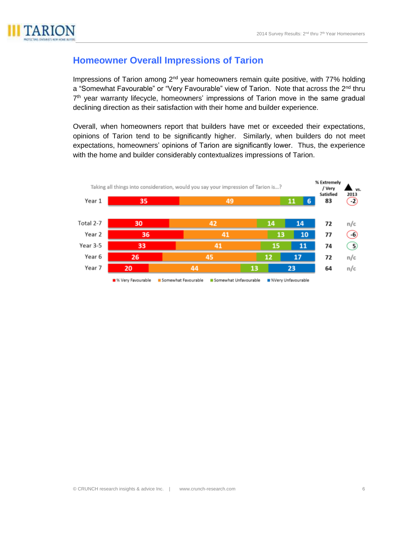

### **Homeowner Overall Impressions of Tarion**

Impressions of Tarion among  $2<sup>nd</sup>$  year homeowners remain quite positive, with 77% holding a "Somewhat Favourable" or "Very Favourable" view of Tarion. Note that across the 2<sup>nd</sup> thru 7<sup>th</sup> year warranty lifecycle, homeowners' impressions of Tarion move in the same gradual declining direction as their satisfaction with their home and builder experience.

Overall, when homeowners report that builders have met or exceeded their expectations, opinions of Tarion tend to be significantly higher. Similarly, when builders do not meet expectations, homeowners' opinions of Tarion are significantly lower. Thus, the experience with the home and builder considerably contextualizes impressions of Tarion.

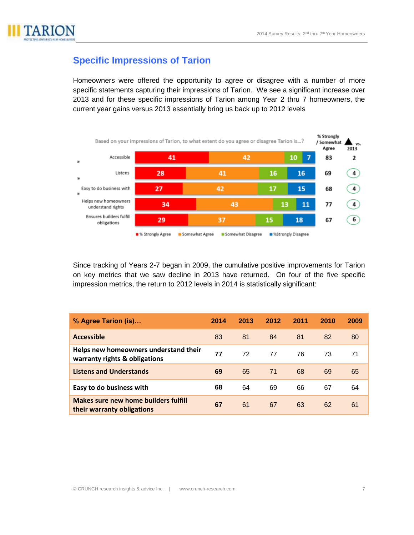

### **Specific Impressions of Tarion**

Homeowners were offered the opportunity to agree or disagree with a number of more specific statements capturing their impressions of Tarion. We see a significant increase over 2013 and for these specific impressions of Tarion among Year 2 thru 7 homeowners, the current year gains versus 2013 essentially bring us back up to 2012 levels



Since tracking of Years 2-7 began in 2009, the cumulative positive improvements for Tarion on key metrics that we saw decline in 2013 have returned. On four of the five specific impression metrics, the return to 2012 levels in 2014 is statistically significant:

| % Agree Tarion (is)                                                    | 2014 | 2013 | 2012 | 2011 | 2010 | 2009 |
|------------------------------------------------------------------------|------|------|------|------|------|------|
| <b>Accessible</b>                                                      | 83   | 81   | 84   | 81   | 82   | 80   |
| Helps new homeowners understand their<br>warranty rights & obligations | 77   | 72   | 77   | 76   | 73   | 71   |
| <b>Listens and Understands</b>                                         | 69   | 65   | 71   | 68   | 69   | 65   |
| Easy to do business with                                               | 68   | 64   | 69   | 66   | 67   | 64   |
| Makes sure new home builders fulfill<br>their warranty obligations     | 67   | 61   | 67   | 63   | 62   | 61   |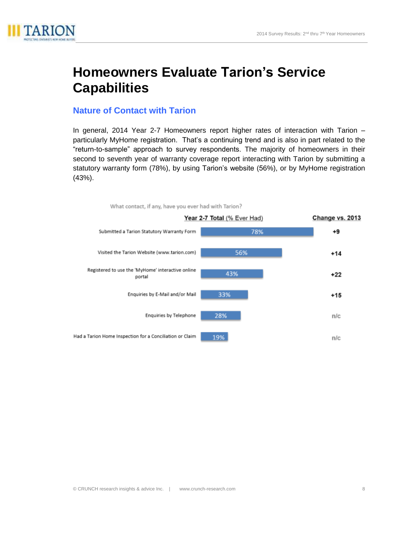

## **Homeowners Evaluate Tarion's Service Capabilities**

#### **Nature of Contact with Tarion**

In general, 2014 Year 2-7 Homeowners report higher rates of interaction with Tarion – particularly MyHome registration. That's a continuing trend and is also in part related to the "return-to-sample" approach to survey respondents. The majority of homeowners in their second to seventh year of warranty coverage report interacting with Tarion by submitting a statutory warranty form (78%), by using Tarion's website (56%), or by MyHome registration (43%).

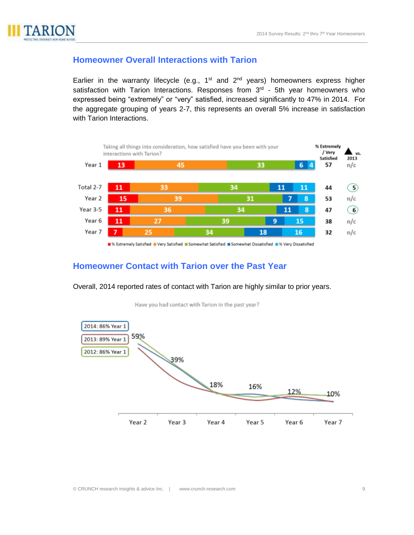

#### **Homeowner Overall Interactions with Tarion**

Earlier in the warranty lifecycle (e.g.,  $1<sup>st</sup>$  and  $2<sup>nd</sup>$  years) homeowners express higher satisfaction with Tarion Interactions. Responses from 3<sup>rd</sup> - 5th year homeowners who expressed being "extremely" or "very" satisfied, increased significantly to 47% in 2014. For the aggregate grouping of years 2-7, this represents an overall 5% increase in satisfaction with Tarion Interactions.



■% Extremely Satisfied ■ Very Satisfied ■ Somewhat Satisfied ■ Somewhat Dissatisfied ■ % Very Dissatisfied

#### **Homeowner Contact with Tarion over the Past Year**

2014: 86% Year 1 59% 2013: 89% Year 1 2012: 86% Year 1 39% 18% 16% 12% 10% Year 2 Year 3 Year 4 Year 5 Year 6 Year 7

Have you had contact with Tarion in the past year?

Overall, 2014 reported rates of contact with Tarion are highly similar to prior years.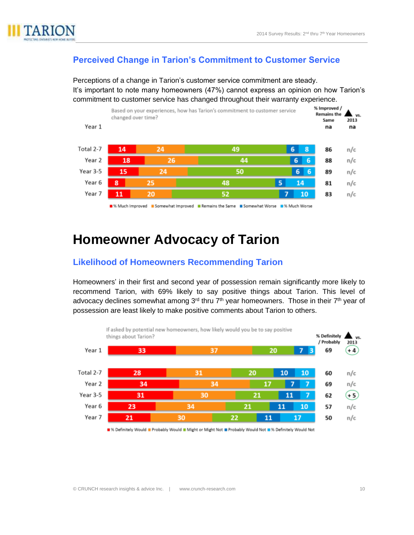

#### **Perceived Change in Tarion's Commitment to Customer Service**

Perceptions of a change in Tarion's customer service commitment are steady. It's important to note many homeowners (47%) cannot express an opinion on how Tarion's commitment to customer service has changed throughout their warranty experience.



## **Homeowner Advocacy of Tarion**

#### **Likelihood of Homeowners Recommending Tarion**

Homeowners' in their first and second year of possession remain significantly more likely to recommend Tarion, with 69% likely to say positive things about Tarion. This level of advocacy declines somewhat among 3<sup>rd</sup> thru 7<sup>th</sup> year homeowners. Those in their 7<sup>th</sup> year of possession are least likely to make positive comments about Tarion to others.



Sperinitely Would B Probably Would B Might or Might Not B Probably Would Not B % Definitely Would Not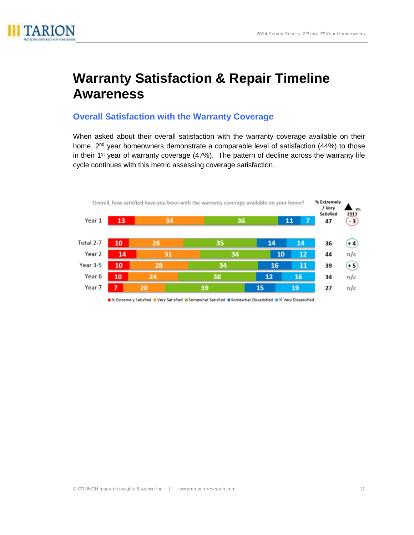

# **Warranty Satisfaction & Repair Timeline Awareness**

#### **Overall Satisfaction with the Warranty Coverage**

When asked about their overall satisfaction with the warranty coverage available on their home, 2<sup>nd</sup> year homeowners demonstrate a comparable level of satisfaction (44%) to those in their 1<sup>st</sup> year of warranty coverage (47%). The pattern of decline across the warranty life cycle continues with this metric assessing coverage satisfaction.



■% Extremely Satisfied ■ Very Satisfied ■ Somewhat Satisfied ■ Somewhat Dissatisfied ■ % Very Dissatisfied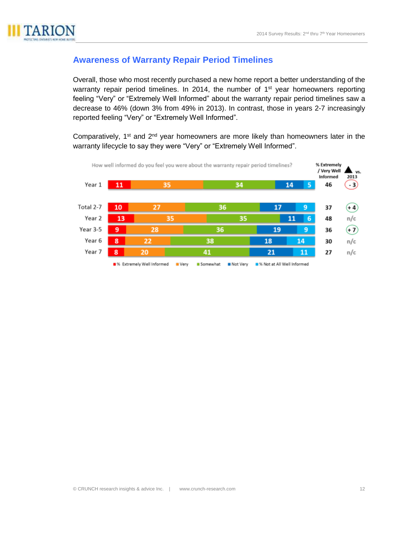

#### **Awareness of Warranty Repair Period Timelines**

Overall, those who most recently purchased a new home report a better understanding of the warranty repair period timelines. In 2014, the number of 1<sup>st</sup> year homeowners reporting feeling "Very" or "Extremely Well Informed" about the warranty repair period timelines saw a decrease to 46% (down 3% from 49% in 2013). In contrast, those in years 2-7 increasingly reported feeling "Very" or "Extremely Well Informed".

Comparatively, 1<sup>st</sup> and 2<sup>nd</sup> year homeowners are more likely than homeowners later in the warranty lifecycle to say they were "Very" or "Extremely Well Informed".

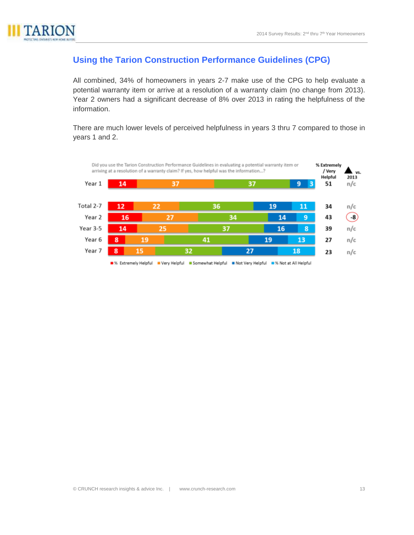

#### **Using the Tarion Construction Performance Guidelines (CPG)**

All combined, 34% of homeowners in years 2-7 make use of the CPG to help evaluate a potential warranty item or arrive at a resolution of a warranty claim (no change from 2013). Year 2 owners had a significant decrease of 8% over 2013 in rating the helpfulness of the information.

There are much lower levels of perceived helpfulness in years 3 thru 7 compared to those in years 1 and 2.

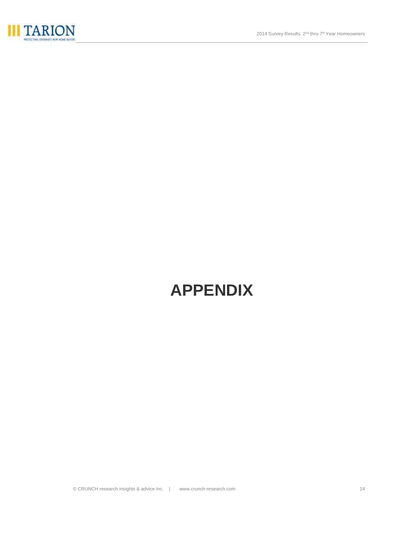

# **APPENDIX**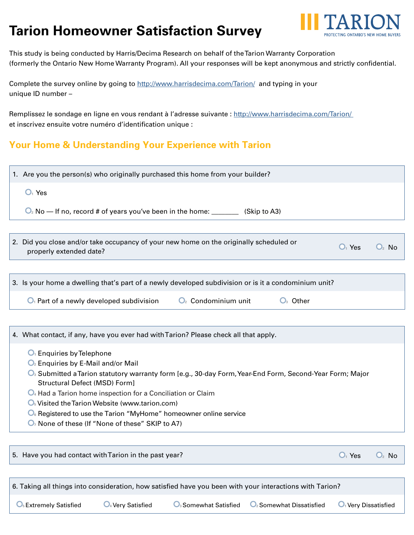# **Tarion Homeowner Satisfaction Survey**



This study is being conducted by Harris/Decima Research on behalf of the Tarion Warranty Corporation (formerly the Ontario New Home Warranty Program). All your responses will be kept anonymous and strictly confidential.

Complete the survey online by going to http://www.harrisdecima.com/Tarion/ and typing in your unique ID number –

Remplissez le sondage en ligne en vous rendant à l'adresse suivante : http://www.harrisdecima.com/Tarion/ et inscrivez ensuite votre numéro d'identification unique :

### **Your Home & Understanding Your Experience with Tarion**

| 1. Are you the person(s) who originally purchased this home from your builder?                                                                                                       |
|--------------------------------------------------------------------------------------------------------------------------------------------------------------------------------------|
| $O1$ Yes                                                                                                                                                                             |
| $\mathbb{Q}_2$ No — If no, record # of years you've been in the home: _________ (Skip to A3)                                                                                         |
|                                                                                                                                                                                      |
| 2. Did you close and/or take occupancy of your new home on the originally scheduled or<br>$O1$ Yes<br>$\mathbf{O}_2$ No<br>properly extended date?                                   |
|                                                                                                                                                                                      |
| 3. Is your home a dwelling that's part of a newly developed subdivision or is it a condominium unit?                                                                                 |
| $\mathbf{O}_2$ Condominium unit<br>$O3$ Other<br>$\mathbf{O}_1$ Part of a newly developed subdivision                                                                                |
|                                                                                                                                                                                      |
| 4. What contact, if any, have you ever had with Tarion? Please check all that apply.                                                                                                 |
| $O1$ Enquiries by Telephone<br>$\mathbb{O}_2$ Enquiries by E-Mail and/or Mail<br>Submitted a Tarion statutory warranty form Lo g. 30 day Form Voar End Form, Second Voar Form: Major |

- **<sup>3</sup>** Submitted a Tarion statutory warranty form [e.g., 30-day Form, Year-End Form, Second-Year Form; Major Structural Defect (MSD) Form]
- **4** Had a Tarion home inspection for a Conciliation or Claim
- **O**<sub>5</sub> Visited the Tarion Website (www.tarion.com)
- **O**<sub>6</sub> Registered to use the Tarion "MyHome" homeowner online service
- **O**<sub>7</sub> None of these (If "None of these" SKIP to A7)

5. Have you had contact with Tarion in the past year? **<sup>1</sup>** Yes **<sup>2</sup>** No

| 6. Taking all things into consideration, how satisfied have you been with your interactions with Tarion? |                      |                                   |                                      |                        |  |  |  |
|----------------------------------------------------------------------------------------------------------|----------------------|-----------------------------------|--------------------------------------|------------------------|--|--|--|
| $\mathbf{\mathsf{O}}_5$ Extremely Satisfied                                                              | $Q_4$ Very Satisfied | $\mathbf{O}_3$ Somewhat Satisfied | $\mathbf{O}_2$ Somewhat Dissatisfied | $O1$ Very Dissatisfied |  |  |  |